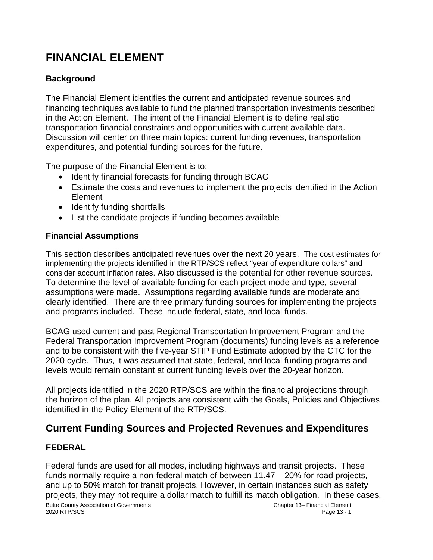# **FINANCIAL ELEMENT**

# **Background**

The Financial Element identifies the current and anticipated revenue sources and financing techniques available to fund the planned transportation investments described in the Action Element. The intent of the Financial Element is to define realistic transportation financial constraints and opportunities with current available data. Discussion will center on three main topics: current funding revenues, transportation expenditures, and potential funding sources for the future.

The purpose of the Financial Element is to:

- Identify financial forecasts for funding through BCAG
- Estimate the costs and revenues to implement the projects identified in the Action Element
- Identify funding shortfalls
- List the candidate projects if funding becomes available

#### **Financial Assumptions**

This section describes anticipated revenues over the next 20 years. The cost estimates for implementing the projects identified in the RTP/SCS reflect "year of expenditure dollars" and consider account inflation rates. Also discussed is the potential for other revenue sources. To determine the level of available funding for each project mode and type, several assumptions were made. Assumptions regarding available funds are moderate and clearly identified. There are three primary funding sources for implementing the projects and programs included. These include federal, state, and local funds.

BCAG used current and past Regional Transportation Improvement Program and the Federal Transportation Improvement Program (documents) funding levels as a reference and to be consistent with the five-year STIP Fund Estimate adopted by the CTC for the 2020 cycle. Thus, it was assumed that state, federal, and local funding programs and levels would remain constant at current funding levels over the 20-year horizon.

All projects identified in the 2020 RTP/SCS are within the financial projections through the horizon of the plan. All projects are consistent with the Goals, Policies and Objectives identified in the Policy Element of the RTP/SCS.

# **Current Funding Sources and Projected Revenues and Expenditures**

#### **FEDERAL**

Federal funds are used for all modes, including highways and transit projects. These funds normally require a non-federal match of between 11.47 – 20% for road projects, and up to 50% match for transit projects. However, in certain instances such as safety projects, they may not require a dollar match to fulfill its match obligation. In these cases,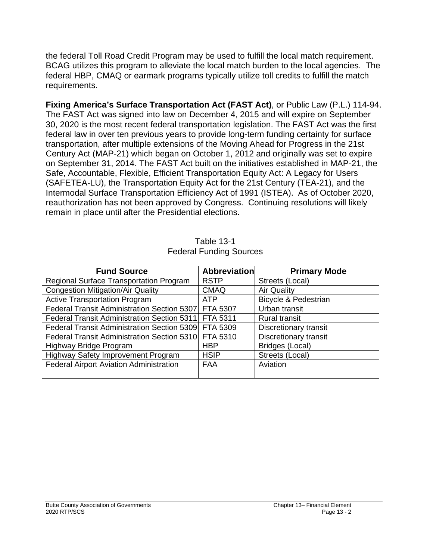the federal Toll Road Credit Program may be used to fulfill the local match requirement. BCAG utilizes this program to alleviate the local match burden to the local agencies. The federal HBP, CMAQ or earmark programs typically utilize toll credits to fulfill the match requirements.

**Fixing America's Surface Transportation Act (FAST Act)**, or Public Law (P.L.) 114-94. The FAST Act was signed into law on December 4, 2015 and will expire on September 30, 2020 is the most recent federal transportation legislation. The FAST Act was the first federal law in over ten previous years to provide long-term funding certainty for surface transportation, after multiple extensions of the Moving Ahead for Progress in the 21st Century Act (MAP-21) which began on October 1, 2012 and originally was set to expire on September 31, 2014. The FAST Act built on the initiatives established in MAP-21, the Safe, Accountable, Flexible, Efficient Transportation Equity Act: A Legacy for Users (SAFETEA-LU), the Transportation Equity Act for the 21st Century (TEA-21), and the Intermodal Surface Transportation Efficiency Act of 1991 (ISTEA). As of October 2020, reauthorization has not been approved by Congress. Continuing resolutions will likely remain in place until after the Presidential elections.

| <b>Fund Source</b>                                   | <b>Abbreviation</b> | <b>Primary Mode</b>             |
|------------------------------------------------------|---------------------|---------------------------------|
| Regional Surface Transportation Program              | <b>RSTP</b>         | Streets (Local)                 |
| <b>Congestion Mitigation/Air Quality</b>             | <b>CMAQ</b>         | <b>Air Quality</b>              |
| <b>Active Transportation Program</b>                 | <b>ATP</b>          | <b>Bicycle &amp; Pedestrian</b> |
| Federal Transit Administration Section 5307 FTA 5307 |                     | Urban transit                   |
| Federal Transit Administration Section 5311 FTA 5311 |                     | <b>Rural transit</b>            |
| Federal Transit Administration Section 5309 FTA 5309 |                     | Discretionary transit           |
| Federal Transit Administration Section 5310 FTA 5310 |                     | Discretionary transit           |
| Highway Bridge Program                               | <b>HBP</b>          | Bridges (Local)                 |
| Highway Safety Improvement Program                   | <b>HSIP</b>         | Streets (Local)                 |
| <b>Federal Airport Aviation Administration</b>       | <b>FAA</b>          | Aviation                        |
|                                                      |                     |                                 |

Table 13-1 Federal Funding Sources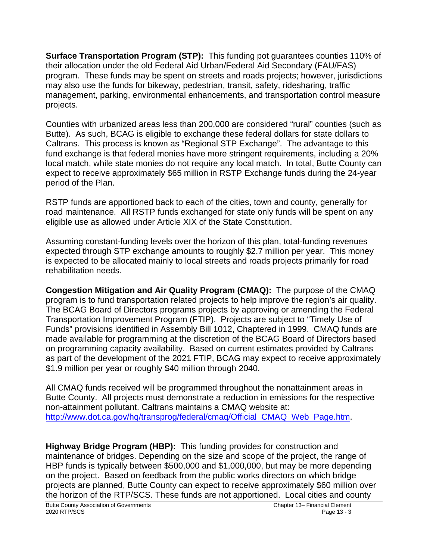**Surface Transportation Program (STP):** This funding pot guarantees counties 110% of their allocation under the old Federal Aid Urban/Federal Aid Secondary (FAU/FAS) program. These funds may be spent on streets and roads projects; however, jurisdictions may also use the funds for bikeway, pedestrian, transit, safety, ridesharing, traffic management, parking, environmental enhancements, and transportation control measure projects.

Counties with urbanized areas less than 200,000 are considered "rural" counties (such as Butte). As such, BCAG is eligible to exchange these federal dollars for state dollars to Caltrans. This process is known as "Regional STP Exchange". The advantage to this fund exchange is that federal monies have more stringent requirements, including a 20% local match, while state monies do not require any local match. In total, Butte County can expect to receive approximately \$65 million in RSTP Exchange funds during the 24-year period of the Plan.

RSTP funds are apportioned back to each of the cities, town and county, generally for road maintenance. All RSTP funds exchanged for state only funds will be spent on any eligible use as allowed under Article XIX of the State Constitution.

Assuming constant-funding levels over the horizon of this plan, total-funding revenues expected through STP exchange amounts to roughly \$2.7 million per year. This money is expected to be allocated mainly to local streets and roads projects primarily for road rehabilitation needs.

**Congestion Mitigation and Air Quality Program (CMAQ):** The purpose of the CMAQ program is to fund transportation related projects to help improve the region's air quality. The BCAG Board of Directors programs projects by approving or amending the Federal Transportation Improvement Program (FTIP). Projects are subject to "Timely Use of Funds" provisions identified in Assembly Bill 1012, Chaptered in 1999. CMAQ funds are made available for programming at the discretion of the BCAG Board of Directors based on programming capacity availability. Based on current estimates provided by Caltrans as part of the development of the 2021 FTIP, BCAG may expect to receive approximately \$1.9 million per year or roughly \$40 million through 2040.

All CMAQ funds received will be programmed throughout the nonattainment areas in Butte County. All projects must demonstrate a reduction in emissions for the respective non-attainment pollutant. Caltrans maintains a CMAQ website at: http://www.dot.ca.gov/hg/transprog/federal/cmag/Official\_CMAQ\_Web\_Page.htm.

**Highway Bridge Program (HBP):** This funding provides for construction and maintenance of bridges. Depending on the size and scope of the project, the range of HBP funds is typically between \$500,000 and \$1,000,000, but may be more depending on the project. Based on feedback from the public works directors on which bridge projects are planned, Butte County can expect to receive approximately \$60 million over the horizon of the RTP/SCS. These funds are not apportioned. Local cities and county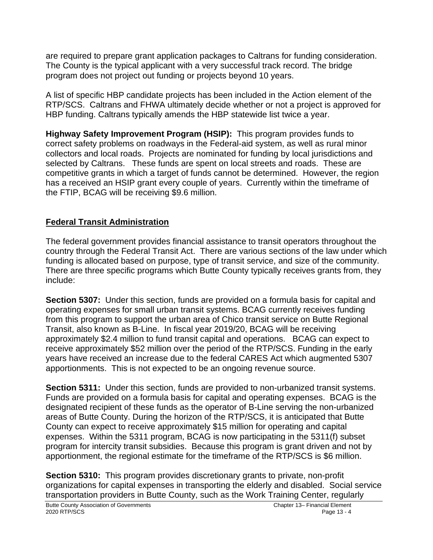are required to prepare grant application packages to Caltrans for funding consideration. The County is the typical applicant with a very successful track record. The bridge program does not project out funding or projects beyond 10 years.

A list of specific HBP candidate projects has been included in the Action element of the RTP/SCS. Caltrans and FHWA ultimately decide whether or not a project is approved for HBP funding. Caltrans typically amends the HBP statewide list twice a year.

**Highway Safety Improvement Program (HSIP):** This program provides funds to correct safety problems on roadways in the Federal-aid system, as well as rural minor collectors and local roads. Projects are nominated for funding by local jurisdictions and selected by Caltrans. These funds are spent on local streets and roads. These are competitive grants in which a target of funds cannot be determined. However, the region has a received an HSIP grant every couple of years. Currently within the timeframe of the FTIP, BCAG will be receiving \$9.6 million.

#### **Federal Transit Administration**

The federal government provides financial assistance to transit operators throughout the country through the Federal Transit Act. There are various sections of the law under which funding is allocated based on purpose, type of transit service, and size of the community. There are three specific programs which Butte County typically receives grants from, they include:

**Section 5307:** Under this section, funds are provided on a formula basis for capital and operating expenses for small urban transit systems. BCAG currently receives funding from this program to support the urban area of Chico transit service on Butte Regional Transit, also known as B-Line. In fiscal year 2019/20, BCAG will be receiving approximately \$2.4 million to fund transit capital and operations. BCAG can expect to receive approximately \$52 million over the period of the RTP/SCS. Funding in the early years have received an increase due to the federal CARES Act which augmented 5307 apportionments. This is not expected to be an ongoing revenue source.

**Section 5311:** Under this section, funds are provided to non-urbanized transit systems. Funds are provided on a formula basis for capital and operating expenses. BCAG is the designated recipient of these funds as the operator of B-Line serving the non-urbanized areas of Butte County. During the horizon of the RTP/SCS, it is anticipated that Butte County can expect to receive approximately \$15 million for operating and capital expenses. Within the 5311 program, BCAG is now participating in the 5311(f) subset program for intercity transit subsidies. Because this program is grant driven and not by apportionment, the regional estimate for the timeframe of the RTP/SCS is \$6 million.

**Section 5310:** This program provides discretionary grants to private, non-profit organizations for capital expenses in transporting the elderly and disabled. Social service transportation providers in Butte County, such as the Work Training Center, regularly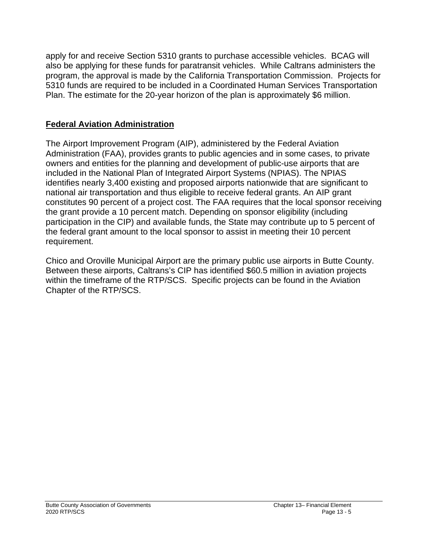apply for and receive Section 5310 grants to purchase accessible vehicles. BCAG will also be applying for these funds for paratransit vehicles. While Caltrans administers the program, the approval is made by the California Transportation Commission. Projects for 5310 funds are required to be included in a Coordinated Human Services Transportation Plan. The estimate for the 20-year horizon of the plan is approximately \$6 million.

#### **Federal Aviation Administration**

The Airport Improvement Program (AIP), administered by the Federal Aviation Administration (FAA), provides grants to public agencies and in some cases, to private owners and entities for the planning and development of public-use airports that are included in the National Plan of Integrated Airport Systems (NPIAS). The NPIAS identifies nearly 3,400 existing and proposed airports nationwide that are significant to national air transportation and thus eligible to receive federal grants. An AIP grant constitutes 90 percent of a project cost. The FAA requires that the local sponsor receiving the grant provide a 10 percent match. Depending on sponsor eligibility (including participation in the CIP) and available funds, the State may contribute up to 5 percent of the federal grant amount to the local sponsor to assist in meeting their 10 percent requirement.

Chico and Oroville Municipal Airport are the primary public use airports in Butte County. Between these airports, Caltrans's CIP has identified \$60.5 million in aviation projects within the timeframe of the RTP/SCS. Specific projects can be found in the Aviation Chapter of the RTP/SCS.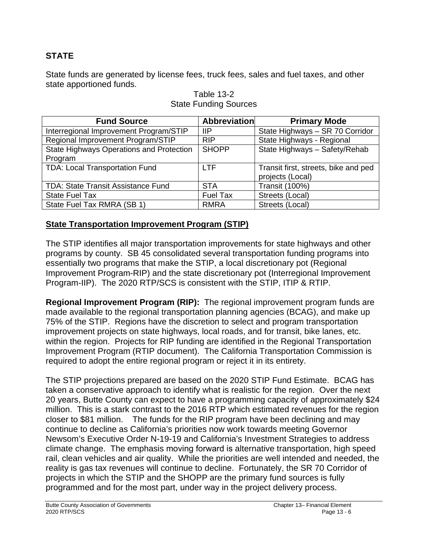### **STATE**

State funds are generated by license fees, truck fees, sales and fuel taxes, and other state apportioned funds.

| <b>Fund Source</b>                        | <b>Abbreviation</b> | <b>Primary Mode</b>                  |
|-------------------------------------------|---------------------|--------------------------------------|
| Interregional Improvement Program/STIP    | -liP                | State Highways - SR 70 Corridor      |
| Regional Improvement Program/STIP         | <b>RIP</b>          | State Highways - Regional            |
| State Highways Operations and Protection  | <b>SHOPP</b>        | State Highways - Safety/Rehab        |
| Program                                   |                     |                                      |
| TDA: Local Transportation Fund            | <b>LTF</b>          | Transit first, streets, bike and ped |
|                                           |                     | projects (Local)                     |
| <b>TDA: State Transit Assistance Fund</b> | <b>STA</b>          | <b>Transit (100%)</b>                |
| <b>State Fuel Tax</b>                     | <b>Fuel Tax</b>     | Streets (Local)                      |
| State Fuel Tax RMRA (SB 1)                | <b>RMRA</b>         | Streets (Local)                      |

#### Table 13-2 State Funding Sources

#### **State Transportation Improvement Program (STIP)**

The STIP identifies all major transportation improvements for state highways and other programs by county. SB 45 consolidated several transportation funding programs into essentially two programs that make the STIP, a local discretionary pot (Regional Improvement Program-RIP) and the state discretionary pot (Interregional Improvement Program-IIP). The 2020 RTP/SCS is consistent with the STIP, ITIP & RTIP.

**Regional Improvement Program (RIP):** The regional improvement program funds are made available to the regional transportation planning agencies (BCAG), and make up 75% of the STIP. Regions have the discretion to select and program transportation improvement projects on state highways, local roads, and for transit, bike lanes, etc. within the region. Projects for RIP funding are identified in the Regional Transportation Improvement Program (RTIP document). The California Transportation Commission is required to adopt the entire regional program or reject it in its entirety.

The STIP projections prepared are based on the 2020 STIP Fund Estimate. BCAG has taken a conservative approach to identify what is realistic for the region. Over the next 20 years, Butte County can expect to have a programming capacity of approximately \$24 million. This is a stark contrast to the 2016 RTP which estimated revenues for the region closer to \$81 million. The funds for the RIP program have been declining and may continue to decline as California's priorities now work towards meeting Governor Newsom's Executive Order N-19-19 and California's Investment Strategies to address climate change. The emphasis moving forward is alternative transportation, high speed rail, clean vehicles and air quality. While the priorities are well intended and needed, the reality is gas tax revenues will continue to decline. Fortunately, the SR 70 Corridor of projects in which the STIP and the SHOPP are the primary fund sources is fully programmed and for the most part, under way in the project delivery process.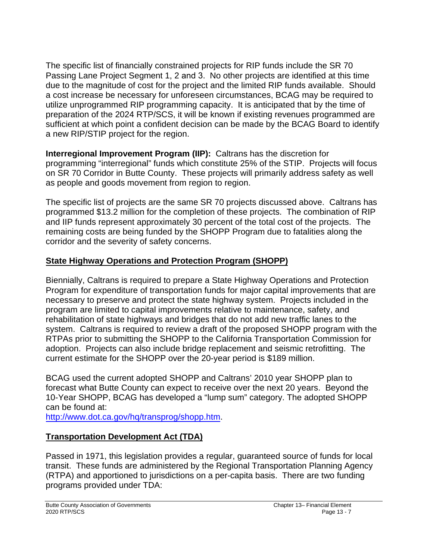The specific list of financially constrained projects for RIP funds include the SR 70 Passing Lane Project Segment 1, 2 and 3. No other projects are identified at this time due to the magnitude of cost for the project and the limited RIP funds available. Should a cost increase be necessary for unforeseen circumstances, BCAG may be required to utilize unprogrammed RIP programming capacity. It is anticipated that by the time of preparation of the 2024 RTP/SCS, it will be known if existing revenues programmed are sufficient at which point a confident decision can be made by the BCAG Board to identify a new RIP/STIP project for the region.

**Interregional Improvement Program (IIP):** Caltrans has the discretion for programming "interregional" funds which constitute 25% of the STIP. Projects will focus on SR 70 Corridor in Butte County. These projects will primarily address safety as well as people and goods movement from region to region.

The specific list of projects are the same SR 70 projects discussed above. Caltrans has programmed \$13.2 million for the completion of these projects. The combination of RIP and IIP funds represent approximately 30 percent of the total cost of the projects. The remaining costs are being funded by the SHOPP Program due to fatalities along the corridor and the severity of safety concerns.

### **State Highway Operations and Protection Program (SHOPP)**

Biennially, Caltrans is required to prepare a State Highway Operations and Protection Program for expenditure of transportation funds for major capital improvements that are necessary to preserve and protect the state highway system. Projects included in the program are limited to capital improvements relative to maintenance, safety, and rehabilitation of state highways and bridges that do not add new traffic lanes to the system. Caltrans is required to review a draft of the proposed SHOPP program with the RTPAs prior to submitting the SHOPP to the California Transportation Commission for adoption. Projects can also include bridge replacement and seismic retrofitting. The current estimate for the SHOPP over the 20-year period is \$189 million.

BCAG used the current adopted SHOPP and Caltrans' 2010 year SHOPP plan to forecast what Butte County can expect to receive over the next 20 years. Beyond the 10-Year SHOPP, BCAG has developed a "lump sum" category. The adopted SHOPP can be found at:

[http://www.dot.ca.gov/hq/transprog/shopp.htm.](http://www.dot.ca.gov/hq/transprog/shopp.htm)

# **Transportation Development Act (TDA)**

Passed in 1971, this legislation provides a regular, guaranteed source of funds for local transit. These funds are administered by the Regional Transportation Planning Agency (RTPA) and apportioned to jurisdictions on a per-capita basis. There are two funding programs provided under TDA: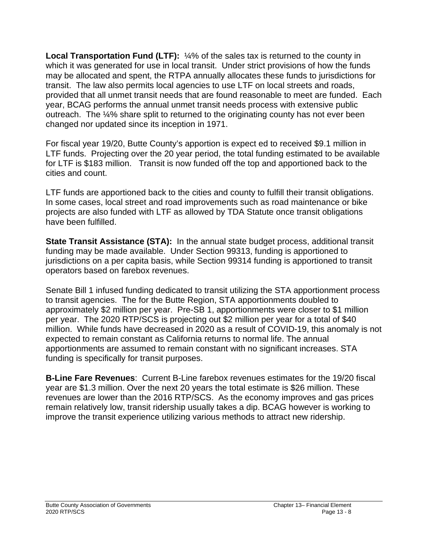**Local Transportation Fund (LTF):**  $\frac{1}{4}$ % of the sales tax is returned to the county in which it was generated for use in local transit. Under strict provisions of how the funds may be allocated and spent, the RTPA annually allocates these funds to jurisdictions for transit. The law also permits local agencies to use LTF on local streets and roads, provided that all unmet transit needs that are found reasonable to meet are funded. Each year, BCAG performs the annual unmet transit needs process with extensive public outreach. The ¼% share split to returned to the originating county has not ever been changed nor updated since its inception in 1971.

For fiscal year 19/20, Butte County's apportion is expect ed to received \$9.1 million in LTF funds. Projecting over the 20 year period, the total funding estimated to be available for LTF is \$183 million. Transit is now funded off the top and apportioned back to the cities and count.

LTF funds are apportioned back to the cities and county to fulfill their transit obligations. In some cases, local street and road improvements such as road maintenance or bike projects are also funded with LTF as allowed by TDA Statute once transit obligations have been fulfilled.

**State Transit Assistance (STA):** In the annual state budget process, additional transit funding may be made available. Under Section 99313, funding is apportioned to jurisdictions on a per capita basis, while Section 99314 funding is apportioned to transit operators based on farebox revenues.

Senate Bill 1 infused funding dedicated to transit utilizing the STA apportionment process to transit agencies. The for the Butte Region, STA apportionments doubled to approximately \$2 million per year. Pre-SB 1, apportionments were closer to \$1 million per year. The 2020 RTP/SCS is projecting out \$2 million per year for a total of \$40 million. While funds have decreased in 2020 as a result of COVID-19, this anomaly is not expected to remain constant as California returns to normal life. The annual apportionments are assumed to remain constant with no significant increases. STA funding is specifically for transit purposes.

**B-Line Fare Revenues**: Current B-Line farebox revenues estimates for the 19/20 fiscal year are \$1.3 million. Over the next 20 years the total estimate is \$26 million. These revenues are lower than the 2016 RTP/SCS. As the economy improves and gas prices remain relatively low, transit ridership usually takes a dip. BCAG however is working to improve the transit experience utilizing various methods to attract new ridership.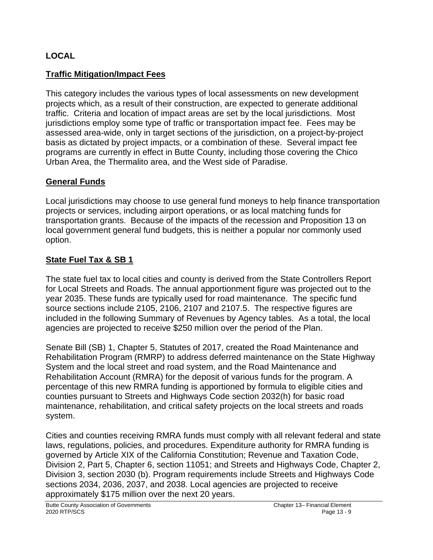#### **LOCAL**

#### **Traffic Mitigation/Impact Fees**

This category includes the various types of local assessments on new development projects which, as a result of their construction, are expected to generate additional traffic. Criteria and location of impact areas are set by the local jurisdictions. Most jurisdictions employ some type of traffic or transportation impact fee. Fees may be assessed area-wide, only in target sections of the jurisdiction, on a project-by-project basis as dictated by project impacts, or a combination of these. Several impact fee programs are currently in effect in Butte County, including those covering the Chico Urban Area, the Thermalito area, and the West side of Paradise.

#### **General Funds**

Local jurisdictions may choose to use general fund moneys to help finance transportation projects or services, including airport operations, or as local matching funds for transportation grants. Because of the impacts of the recession and Proposition 13 on local government general fund budgets, this is neither a popular nor commonly used option.

#### **State Fuel Tax & SB 1**

The state fuel tax to local cities and county is derived from the State Controllers Report for Local Streets and Roads. The annual apportionment figure was projected out to the year 2035. These funds are typically used for road maintenance. The specific fund source sections include 2105, 2106, 2107 and 2107.5. The respective figures are included in the following Summary of Revenues by Agency tables. As a total, the local agencies are projected to receive \$250 million over the period of the Plan.

Senate Bill (SB) 1, Chapter 5, Statutes of 2017, created the Road Maintenance and Rehabilitation Program (RMRP) to address deferred maintenance on the State Highway System and the local street and road system, and the Road Maintenance and Rehabilitation Account (RMRA) for the deposit of various funds for the program. A percentage of this new RMRA funding is apportioned by formula to eligible cities and counties pursuant to Streets and Highways Code section 2032(h) for basic road maintenance, rehabilitation, and critical safety projects on the local streets and roads system.

Cities and counties receiving RMRA funds must comply with all relevant federal and state laws, regulations, policies, and procedures. Expenditure authority for RMRA funding is governed by Article XIX of the California Constitution; Revenue and Taxation Code, Division 2, Part 5, Chapter 6, section 11051; and Streets and Highways Code, Chapter 2, Division 3, section 2030 (b). Program requirements include Streets and Highways Code sections 2034, 2036, 2037, and 2038. Local agencies are projected to receive approximately \$175 million over the next 20 years.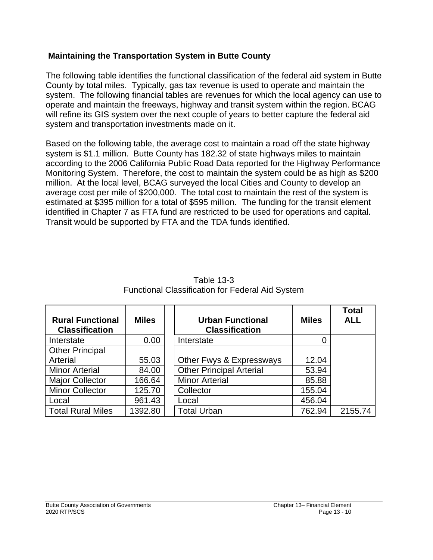#### **Maintaining the Transportation System in Butte County**

The following table identifies the functional classification of the federal aid system in Butte County by total miles. Typically, gas tax revenue is used to operate and maintain the system. The following financial tables are revenues for which the local agency can use to operate and maintain the freeways, highway and transit system within the region. BCAG will refine its GIS system over the next couple of years to better capture the federal aid system and transportation investments made on it.

Based on the following table, the average cost to maintain a road off the state highway system is \$1.1 million. Butte County has 182.32 of state highways miles to maintain according to the 2006 California Public Road Data reported for the Highway Performance Monitoring System. Therefore, the cost to maintain the system could be as high as \$200 million. At the local level, BCAG surveyed the local Cities and County to develop an average cost per mile of \$200,000. The total cost to maintain the rest of the system is estimated at \$395 million for a total of \$595 million. The funding for the transit element identified in Chapter 7 as FTA fund are restricted to be used for operations and capital. Transit would be supported by FTA and the TDA funds identified.

| <b>Rural Functional</b><br><b>Classification</b> | <b>Miles</b> | <b>Urban Functional</b><br><b>Classification</b> | <b>Miles</b> | <b>Total</b><br><b>ALL</b> |
|--------------------------------------------------|--------------|--------------------------------------------------|--------------|----------------------------|
| Interstate                                       | 0.00         | Interstate                                       |              |                            |
| <b>Other Principal</b>                           |              |                                                  |              |                            |
| Arterial                                         | 55.03        | Other Fwys & Expressways                         | 12.04        |                            |
| <b>Minor Arterial</b>                            | 84.00        | <b>Other Principal Arterial</b>                  | 53.94        |                            |
| <b>Major Collector</b>                           | 166.64       | <b>Minor Arterial</b>                            | 85.88        |                            |
| <b>Minor Collector</b>                           | 125.70       | Collector                                        | 155.04       |                            |
| Local                                            | 961.43       | Local                                            | 456.04       |                            |
| <b>Total Rural Miles</b>                         | 1392.80      | <b>Total Urban</b>                               | 762.94       | 2155.74                    |

Table 13-3 Functional Classification for Federal Aid System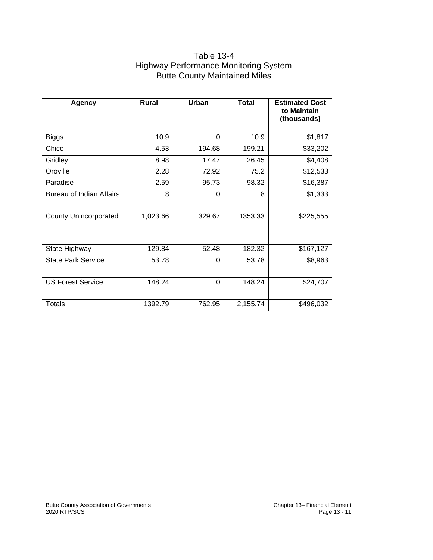#### Table 13-4 Highway Performance Monitoring System Butte County Maintained Miles

| <b>Agency</b>                   | <b>Rural</b> | Urban    | Total    | <b>Estimated Cost</b><br>to Maintain<br>(thousands) |
|---------------------------------|--------------|----------|----------|-----------------------------------------------------|
| <b>Biggs</b>                    | 10.9         | $\Omega$ | 10.9     | \$1,817                                             |
| Chico                           | 4.53         | 194.68   | 199.21   | \$33,202                                            |
| Gridley                         | 8.98         | 17.47    | 26.45    | \$4,408                                             |
| Oroville                        | 2.28         | 72.92    | 75.2     | \$12,533                                            |
| Paradise                        | 2.59         | 95.73    | 98.32    | \$16,387                                            |
| <b>Bureau of Indian Affairs</b> | 8            | $\Omega$ | 8        | \$1,333                                             |
| <b>County Unincorporated</b>    | 1,023.66     | 329.67   | 1353.33  | \$225,555                                           |
| State Highway                   | 129.84       | 52.48    | 182.32   | \$167,127                                           |
| <b>State Park Service</b>       | 53.78        | $\Omega$ | 53.78    | \$8,963                                             |
| <b>US Forest Service</b>        | 148.24       | $\Omega$ | 148.24   | \$24,707                                            |
| <b>Totals</b>                   | 1392.79      | 762.95   | 2,155.74 | \$496,032                                           |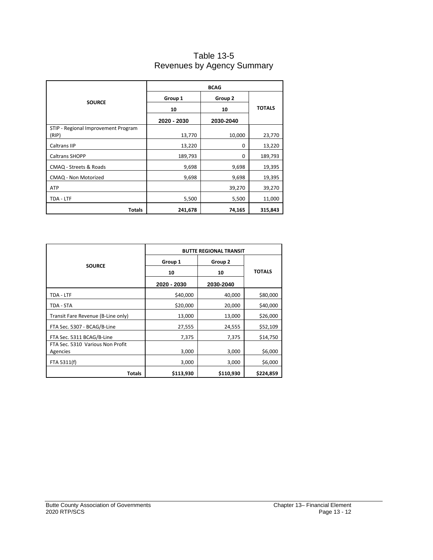#### Table 13-5 Revenues by Agency Summary

|                                              | <b>BCAG</b> |           |               |  |
|----------------------------------------------|-------------|-----------|---------------|--|
| <b>SOURCE</b>                                | Group 1     | Group 2   |               |  |
|                                              | 10          | 10        | <b>TOTALS</b> |  |
|                                              | 2020 - 2030 | 2030-2040 |               |  |
| STIP - Regional Improvement Program<br>(RIP) | 13,770      | 10,000    | 23,770        |  |
| Caltrans IIP                                 | 13,220      | 0         | 13,220        |  |
| Caltrans SHOPP                               | 189,793     | 0         | 189,793       |  |
| CMAQ - Streets & Roads                       | 9,698       | 9,698     | 19,395        |  |
| CMAQ - Non Motorized                         | 9,698       | 9,698     | 19,395        |  |
| <b>ATP</b>                                   |             | 39,270    | 39,270        |  |
| TDA - LTF                                    | 5,500       | 5,500     | 11,000        |  |
| Totals                                       | 241,678     | 74,165    | 315,843       |  |

|                                              | <b>BUTTE REGIONAL TRANSIT</b> |           |               |  |
|----------------------------------------------|-------------------------------|-----------|---------------|--|
|                                              | Group 1                       | Group 2   |               |  |
| <b>SOURCE</b>                                | 10                            | 10        | <b>TOTALS</b> |  |
|                                              | 2020 - 2030                   | 2030-2040 |               |  |
| TDA - LTF                                    | \$40,000                      | 40,000    | \$80,000      |  |
| TDA - STA                                    | \$20,000                      | 20,000    | \$40,000      |  |
| Transit Fare Revenue (B-Line only)           | 13,000                        | 13,000    | \$26,000      |  |
| FTA Sec. 5307 - BCAG/B-Line                  | 27,555                        | 24,555    | \$52,109      |  |
| FTA Sec. 5311 BCAG/B-Line                    | 7,375                         | 7,375     | \$14,750      |  |
| FTA Sec. 5310 Various Non Profit<br>Agencies | 3,000                         | 3,000     | \$6,000       |  |
| FTA 5311(f)                                  | 3,000                         | 3,000     | \$6,000       |  |
| <b>Totals</b>                                | \$113,930                     | \$110,930 | \$224,859     |  |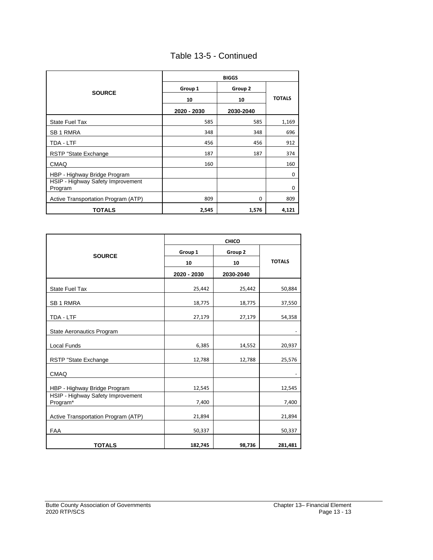| Table 13-5 - Continued |  |
|------------------------|--|
|------------------------|--|

|                                              |             | <b>BIGGS</b> |               |
|----------------------------------------------|-------------|--------------|---------------|
| <b>SOURCE</b>                                | Group 1     | Group 2      |               |
|                                              | 10          | 10           | <b>TOTALS</b> |
|                                              | 2020 - 2030 | 2030-2040    |               |
| <b>State Fuel Tax</b>                        | 585         | 585          | 1,169         |
| <b>SB1 RMRA</b>                              | 348         | 348          | 696           |
| TDA - LTF                                    | 456         | 456          | 912           |
| RSTP "State Exchange                         | 187         | 187          | 374           |
| <b>CMAQ</b>                                  | 160         |              | 160           |
| HBP - Highway Bridge Program                 |             |              | $\mathbf 0$   |
| HSIP - Highway Safety Improvement<br>Program |             |              | $\mathbf 0$   |
| Active Transportation Program (ATP)          | 809         | $\Omega$     | 809           |
| <b>TOTALS</b>                                | 2,545       | 1,576        | 4,121         |

|                                               | <b>CHICO</b> |           |               |  |
|-----------------------------------------------|--------------|-----------|---------------|--|
| <b>SOURCE</b>                                 | Group 1      | Group 2   |               |  |
|                                               | 10           | 10        | <b>TOTALS</b> |  |
|                                               | 2020 - 2030  | 2030-2040 |               |  |
| <b>State Fuel Tax</b>                         | 25,442       | 25,442    | 50,884        |  |
| SB 1 RMRA                                     | 18,775       | 18,775    | 37,550        |  |
| TDA - LTF                                     | 27,179       | 27,179    | 54,358        |  |
| <b>State Aeronautics Program</b>              |              |           |               |  |
| Local Funds                                   | 6,385        | 14,552    | 20,937        |  |
| RSTP "State Exchange                          | 12,788       | 12,788    | 25,576        |  |
| <b>CMAQ</b>                                   |              |           |               |  |
| HBP - Highway Bridge Program                  | 12,545       |           | 12,545        |  |
| HSIP - Highway Safety Improvement<br>Program* | 7,400        |           | 7,400         |  |
| Active Transportation Program (ATP)           | 21,894       |           | 21,894        |  |
| <b>FAA</b>                                    | 50,337       |           | 50,337        |  |
| <b>TOTALS</b>                                 | 182,745      | 98,736    | 281,481       |  |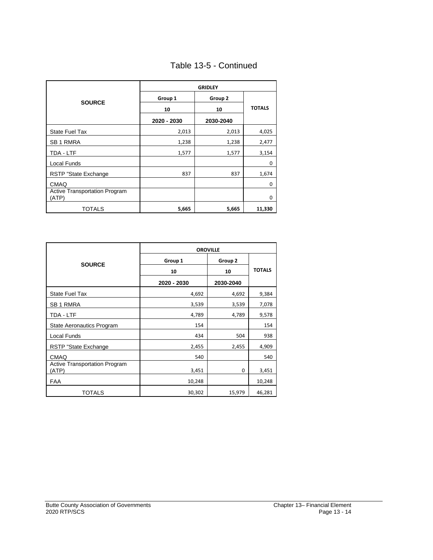| Table 13-5 - Continued |  |  |
|------------------------|--|--|
|------------------------|--|--|

|                                        | <b>GRIDLEY</b> |           |               |  |
|----------------------------------------|----------------|-----------|---------------|--|
|                                        | Group 1        | Group 2   |               |  |
| <b>SOURCE</b>                          | 10             | 10        | <b>TOTALS</b> |  |
|                                        | 2020 - 2030    | 2030-2040 |               |  |
| <b>State Fuel Tax</b>                  | 2,013          | 2,013     | 4,025         |  |
| SB <sub>1</sub> RMRA                   | 1,238          | 1,238     | 2,477         |  |
| TDA - LTF                              | 1,577          | 1,577     | 3,154         |  |
| Local Funds                            |                |           | 0             |  |
| RSTP "State Exchange                   | 837            | 837       | 1,674         |  |
| <b>CMAQ</b>                            |                |           | $\mathbf 0$   |  |
| Active Transportation Program<br>(ATP) |                |           | $\mathbf 0$   |  |
| TOTALS                                 | 5,665          | 5,665     | 11,330        |  |

|                                               | <b>OROVILLE</b> |           |               |  |
|-----------------------------------------------|-----------------|-----------|---------------|--|
| <b>SOURCE</b>                                 | Group 1         | Group 2   |               |  |
|                                               | 10              | 10        | <b>TOTALS</b> |  |
|                                               | 2020 - 2030     | 2030-2040 |               |  |
| <b>State Fuel Tax</b>                         | 4,692           | 4,692     | 9,384         |  |
| <b>SB1 RMRA</b>                               | 3,539           | 3,539     | 7,078         |  |
| TDA - LTF                                     | 4,789           | 4,789     | 9,578         |  |
| <b>State Aeronautics Program</b>              | 154             |           | 154           |  |
| Local Funds                                   | 434             | 504       | 938           |  |
| RSTP "State Exchange                          | 2,455           | 2,455     | 4,909         |  |
| <b>CMAQ</b>                                   | 540             |           | 540           |  |
| <b>Active Transportation Program</b><br>(ATP) | 3,451           | 0         | 3,451         |  |
| <b>FAA</b>                                    | 10,248          |           | 10,248        |  |
| <b>TOTALS</b>                                 | 30,302          | 15,979    | 46,281        |  |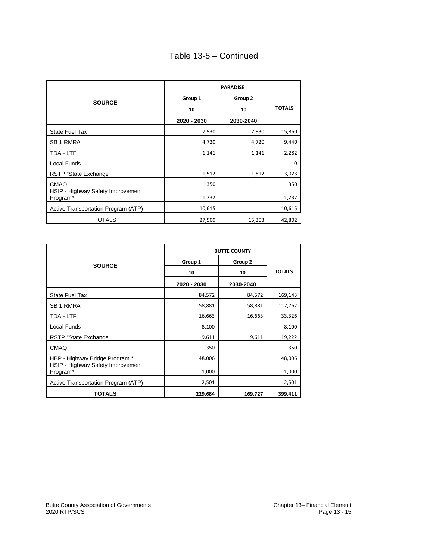#### Table 13-5 – Continued

|                                               | <b>PARADISE</b> |           |               |  |  |  |
|-----------------------------------------------|-----------------|-----------|---------------|--|--|--|
| <b>SOURCE</b>                                 | Group 1         | Group 2   |               |  |  |  |
|                                               | 10              | 10        | <b>TOTALS</b> |  |  |  |
|                                               | 2020 - 2030     | 2030-2040 |               |  |  |  |
| <b>State Fuel Tax</b>                         | 7,930           | 7,930     | 15,860        |  |  |  |
| <b>SB1 RMRA</b>                               | 4,720           | 4,720     | 9,440         |  |  |  |
| TDA - LTF                                     | 1,141           | 1,141     | 2,282         |  |  |  |
| Local Funds                                   |                 |           | 0             |  |  |  |
| <b>RSTP "State Exchange</b>                   | 1,512           | 1,512     | 3,023         |  |  |  |
| <b>CMAQ</b>                                   | 350             |           | 350           |  |  |  |
| HSIP - Highway Safety Improvement<br>Program* | 1,232           |           | 1,232         |  |  |  |
| Active Transportation Program (ATP)           | 10,615          |           | 10,615        |  |  |  |
| TOTALS                                        | 27,500          | 15,303    | 42,802        |  |  |  |

|                                               | <b>BUTTE COUNTY</b> |           |               |  |  |
|-----------------------------------------------|---------------------|-----------|---------------|--|--|
| <b>SOURCE</b>                                 | Group 1             | Group 2   |               |  |  |
|                                               | 10                  | 10        | <b>TOTALS</b> |  |  |
|                                               | 2020 - 2030         | 2030-2040 |               |  |  |
| <b>State Fuel Tax</b>                         | 84,572              | 84,572    | 169,143       |  |  |
| <b>SB1 RMRA</b>                               | 58,881              | 58,881    | 117,762       |  |  |
| TDA - LTF                                     | 16,663              | 16,663    | 33,326        |  |  |
| Local Funds                                   | 8,100               |           | 8,100         |  |  |
| RSTP "State Exchange"                         | 9,611               | 9,611     | 19,222        |  |  |
| <b>CMAQ</b>                                   | 350                 |           | 350           |  |  |
| HBP - Highway Bridge Program *                | 48,006              |           | 48,006        |  |  |
| HSIP - Highway Safety Improvement<br>Program* | 1,000               |           | 1,000         |  |  |
| Active Transportation Program (ATP)           | 2,501               |           | 2,501         |  |  |
| <b>TOTALS</b>                                 | 229,684             | 169,727   | 399,411       |  |  |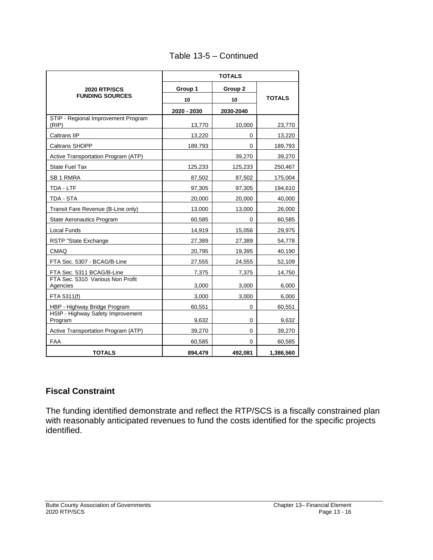|                                              | <b>TOTALS</b> |           |               |  |  |  |
|----------------------------------------------|---------------|-----------|---------------|--|--|--|
| <b>2020 RTP/SCS</b>                          | Group 1       | Group 2   |               |  |  |  |
| <b>FUNDING SOURCES</b>                       | 10            | 10        | <b>TOTALS</b> |  |  |  |
|                                              | 2020 - 2030   | 2030-2040 |               |  |  |  |
| STIP - Regional Improvement Program<br>(RIP) | 13,770        | 10,000    | 23,770        |  |  |  |
| Caltrans IIP                                 | 13,220        | 0         | 13,220        |  |  |  |
| Caltrans SHOPP                               | 189,793       | 0         | 189,793       |  |  |  |
| Active Transportation Program (ATP)          |               | 39,270    | 39,270        |  |  |  |
| <b>State Fuel Tax</b>                        | 125,233       | 125,233   | 250,467       |  |  |  |
| SB 1 RMRA                                    | 87,502        | 87,502    | 175,004       |  |  |  |
| TDA - LTF                                    | 97,305        | 97,305    | 194,610       |  |  |  |
| TDA - STA                                    | 20,000        | 20,000    | 40,000        |  |  |  |
| Transit Fare Revenue (B-Line only)           | 13,000        | 13,000    | 26,000        |  |  |  |
| <b>State Aeronautics Program</b>             | 60,585        | 0         | 60,585        |  |  |  |
| Local Funds                                  | 14,919        | 15,056    | 29,975        |  |  |  |
| RSTP "State Exchange                         | 27,389        | 27,389    | 54,778        |  |  |  |
| <b>CMAQ</b>                                  | 20,795        | 19,395    | 40,190        |  |  |  |
| FTA Sec. 5307 - BCAG/B-Line                  | 27,555        | 24,555    | 52,109        |  |  |  |
| FTA Sec. 5311 BCAG/B-Line                    | 7,375         | 7,375     | 14,750        |  |  |  |
| FTA Sec. 5310 Various Non Profit<br>Agencies | 3,000         | 3,000     | 6,000         |  |  |  |
| FTA 5311(f)                                  | 3,000         | 3,000     | 6,000         |  |  |  |
| HBP - Highway Bridge Program                 | 60,551        | 0         | 60,551        |  |  |  |
| HSIP - Highway Safety Improvement<br>Program | 9,632         | 0         | 9,632         |  |  |  |
| Active Transportation Program (ATP)          | 39,270        | 0         | 39,270        |  |  |  |
| <b>FAA</b>                                   | 60,585        | 0         | 60,585        |  |  |  |
| <b>TOTALS</b>                                | 894,479       | 492,081   | 1,386,560     |  |  |  |

#### Table 13-5 – Continued

#### **Fiscal Constraint**

The funding identified demonstrate and reflect the RTP/SCS is a fiscally constrained plan with reasonably anticipated revenues to fund the costs identified for the specific projects identified.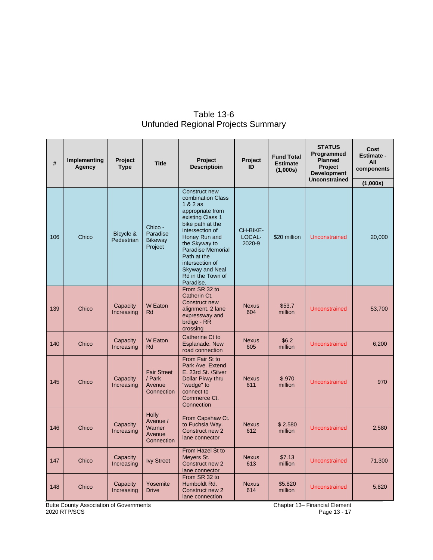| #   | Implementing<br>Agency | Project<br><b>Type</b>  | <b>Title</b>                                               | Project<br><b>Descriptioin</b>                                                                                                                                                                                                                                                              | <b>Project</b><br>ID         | <b>Fund Total</b><br><b>Estimate</b><br>(1,000s) | <b>STATUS</b><br>Programmed<br><b>Planned</b><br>Project<br><b>Development</b><br><b>Unconstrained</b> | Cost<br><b>Estimate -</b><br>All<br>components |
|-----|------------------------|-------------------------|------------------------------------------------------------|---------------------------------------------------------------------------------------------------------------------------------------------------------------------------------------------------------------------------------------------------------------------------------------------|------------------------------|--------------------------------------------------|--------------------------------------------------------------------------------------------------------|------------------------------------------------|
|     |                        |                         |                                                            |                                                                                                                                                                                                                                                                                             |                              |                                                  |                                                                                                        | (1,000s)                                       |
| 106 | Chico                  | Bicycle &<br>Pedestrian | Chico -<br>Paradise<br>Bikeway<br>Project                  | Construct new<br>combination Class<br>$1 & 2$ as<br>appropriate from<br>existing Class 1<br>bike path at the<br>intersection of<br>Honey Run and<br>the Skyway to<br><b>Paradise Memorial</b><br>Path at the<br>intersection of<br><b>Skyway and Neal</b><br>Rd in the Town of<br>Paradise. | CH-BIKE-<br>LOCAL-<br>2020-9 | \$20 million                                     | <b>Unconstrained</b>                                                                                   | 20,000                                         |
| 139 | Chico                  | Capacity<br>Increasing  | W Eaton<br>Rd                                              | From SR 32 to<br>Catherin Ct.<br>Construct new<br>alignment. 2 lane<br>expressway and<br>brdige - RR<br>crossing                                                                                                                                                                            | <b>Nexus</b><br>604          | \$53.7<br>million                                | <b>Unconstrained</b>                                                                                   | 53,700                                         |
| 140 | Chico                  | Capacity<br>Increasing  | W Eaton<br>Rd                                              | Catherine Ct to<br>Esplanade. New<br>road connection                                                                                                                                                                                                                                        | <b>Nexus</b><br>605          | \$6.2<br>million                                 | Unconstrained                                                                                          | 6,200                                          |
| 145 | Chico                  | Capacity<br>Increasing  | <b>Fair Street</b><br>/ Park<br>Avenue<br>Connection       | From Fair St to<br>Park Ave. Extend<br>E. 23rd St. /Silver<br>Dollar Pkwy thru<br>"wedge" to<br>connect to<br>Commerce Ct.<br>Connection                                                                                                                                                    | <b>Nexus</b><br>611          | \$.970<br>million                                | <b>Unconstrained</b>                                                                                   | 970                                            |
| 146 | Chico                  | Capacity<br>Increasing  | <b>Holly</b><br>Avenue /<br>Warner<br>Avenue<br>Connection | From Capshaw Ct.<br>to Fuchsia Way.<br>Construct new 2<br>lane connector                                                                                                                                                                                                                    | <b>Nexus</b><br>612          | \$2.580<br>million                               | <b>Unconstrained</b>                                                                                   | 2,580                                          |
| 147 | Chico                  | Capacity<br>Increasing  | <b>Ivy Street</b>                                          | From Hazel St to<br>Meyers St.<br>Construct new 2<br>lane connector                                                                                                                                                                                                                         | <b>Nexus</b><br>613          | \$7.13<br>million                                | <b>Unconstrained</b>                                                                                   | 71,300                                         |
| 148 | Chico                  | Capacity<br>Increasing  | Yosemite<br><b>Drive</b>                                   | From SR 32 to<br>Humboldt Rd.<br>Construct new 2<br>lane connection                                                                                                                                                                                                                         | <b>Nexus</b><br>614          | \$5.820<br>million                               | <b>Unconstrained</b>                                                                                   | 5,820                                          |

#### Table 13-6 Unfunded Regional Projects Summary

Butte County Association of Governments **Chapter 13– Financial Element** Chapter 13– Financial Element 2020 RTP/SCS Page 13 - 17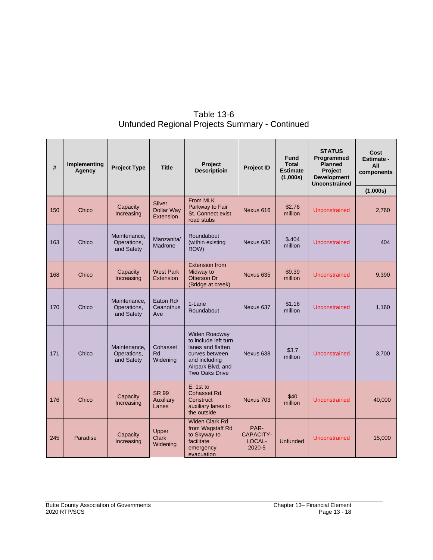| <b>Table 13-6</b>                              |
|------------------------------------------------|
| Unfunded Regional Projects Summary - Continued |

| #   | Implementing<br>Agency | <b>Project Type</b>                       | <b>Title</b>                                    | <b>Project</b><br><b>Descriptioin</b>                                                                                                       | <b>Project ID</b>                            | <b>Fund</b><br><b>Total</b><br><b>Estimate</b><br>(1,000s) | <b>STATUS</b><br>Programmed<br><b>Planned</b><br><b>Project</b><br><b>Development</b><br><b>Unconstrained</b> | Cost<br><b>Estimate -</b><br>All<br>components<br>(1,000s) |
|-----|------------------------|-------------------------------------------|-------------------------------------------------|---------------------------------------------------------------------------------------------------------------------------------------------|----------------------------------------------|------------------------------------------------------------|---------------------------------------------------------------------------------------------------------------|------------------------------------------------------------|
| 150 | Chico                  | Capacity<br>Increasing                    | <b>Silver</b><br><b>Dollar Way</b><br>Extension | From MLK<br>Parkway to Fair<br>St. Connect exist<br>road stubs                                                                              | Nexus 616                                    | \$2.76<br>million                                          | Unconstrained                                                                                                 | 2,760                                                      |
| 163 | Chico                  | Maintenance,<br>Operations,<br>and Safety | Manzanita/<br>Madrone                           | Roundabout<br>(within existing<br>ROW)                                                                                                      | Nexus 630                                    | \$.404<br>million                                          | Unconstrained                                                                                                 | 404                                                        |
| 168 | Chico                  | Capacity<br>Increasing                    | <b>West Park</b><br>Extension                   | <b>Extension from</b><br>Midway to<br>Otterson Dr<br>(Bridge at creek)                                                                      | Nexus 635                                    | \$9.39<br>million                                          | Unconstrained                                                                                                 | 9,390                                                      |
| 170 | Chico                  | Maintenance,<br>Operations,<br>and Safety | Eaton Rd/<br>Ceanothus<br>Ave                   | 1-Lane<br>Roundabout                                                                                                                        | Nexus 637                                    | \$1.16<br>million                                          | Unconstrained                                                                                                 | 1,160                                                      |
| 171 | Chico                  | Maintenance,<br>Operations,<br>and Safety | Cohasset<br>Rd<br>Widening                      | Widen Roadway<br>to include left turn<br>lanes and flatten<br>curves between<br>and including<br>Airpark Blvd, and<br><b>Two Oaks Drive</b> | Nexus 638                                    | \$3.7<br>million                                           | Unconstrained                                                                                                 | 3,700                                                      |
| 176 | Chico                  | Capacity<br>Increasing                    | <b>SR 99</b><br><b>Auxiliary</b><br>Lanes       | E. 1st to<br>Cohasset Rd.<br>Construct<br>auxiliary lanes to<br>the outside                                                                 | Nexus 703                                    | \$40<br>million                                            | Unconstrained                                                                                                 |                                                            |
| 245 | Paradise               | Capacity<br>Increasing                    | Upper<br><b>Clark</b><br>Widening               | <b>Widen Clark Rd</b><br>from Wagstaff Rd<br>to Skyway to<br>facilitate<br>emergency<br>evacuation                                          | PAR-<br><b>CAPACITY-</b><br>LOCAL-<br>2020-5 | <b>Unfunded</b>                                            | Unconstrained                                                                                                 | 15,000                                                     |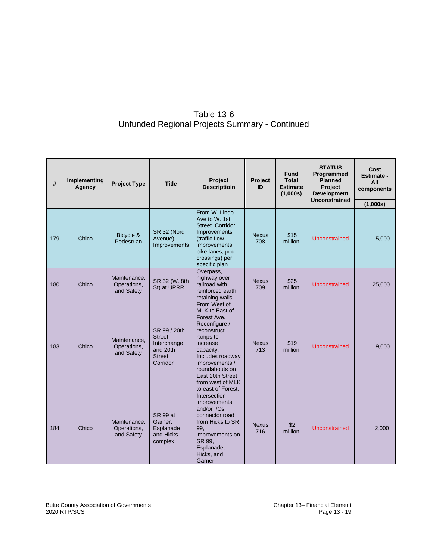#### Table 13-6 Unfunded Regional Projects Summary - Continued

| #   | Implementing<br>Agency | <b>Project Type</b>                       | <b>Title</b>                                                                          | Project<br>Project<br><b>Descriptioin</b><br>ID                                                                                                                                                                                          |                     | <b>Fund</b><br><b>Total</b><br><b>Estimate</b><br>(1,000s) | <b>STATUS</b><br>Programmed<br><b>Planned</b><br>Project<br><b>Development</b><br><b>Unconstrained</b> | Cost<br><b>Estimate -</b><br>All<br>components |
|-----|------------------------|-------------------------------------------|---------------------------------------------------------------------------------------|------------------------------------------------------------------------------------------------------------------------------------------------------------------------------------------------------------------------------------------|---------------------|------------------------------------------------------------|--------------------------------------------------------------------------------------------------------|------------------------------------------------|
| 179 | Chico                  | Bicycle &<br>Pedestrian                   | SR 32 (Nord<br>Avenue)<br>Improvements                                                | From W. Lindo<br>Ave to W. 1st<br>Street, Corridor<br>Improvements<br>(traffic flow<br>improvements,<br>bike lanes, ped<br>crossings) per<br>specific plan                                                                               | <b>Nexus</b><br>708 | \$15<br>million                                            | Unconstrained                                                                                          | (1,000s)<br>15,000                             |
| 180 | Chico                  | Maintenance,<br>Operations,<br>and Safety | SR 32 (W. 8th<br>St) at UPRR                                                          | Overpass,<br>highway over<br>railroad with<br>reinforced earth<br>retaining walls.                                                                                                                                                       | <b>Nexus</b><br>709 | \$25<br>million                                            | Unconstrained                                                                                          | 25,000                                         |
| 183 | Chico                  | Maintenance.<br>Operations,<br>and Safety | SR 99 / 20th<br><b>Street</b><br>Interchange<br>and 20th<br><b>Street</b><br>Corridor | From West of<br>MLK to East of<br>Forest Ave.<br>Reconfigure /<br>reconstruct<br>ramps to<br>increase<br>capacity.<br>Includes roadway<br>improvements /<br>roundabouts on<br>East 20th Street<br>from west of MLK<br>to east of Forest. | <b>Nexus</b><br>713 | \$19<br>million                                            | Unconstrained                                                                                          | 19,000                                         |
| 184 | Chico                  | Maintenance,<br>Operations,<br>and Safety | <b>SR 99 at</b><br>Garner,<br>Esplanade<br>and Hicks<br>complex                       | Intersection<br>improvements<br>and/or I/Cs.<br>connector road<br>from Hicks to SR<br>99,<br>improvements on<br>SR 99.<br>Esplanade,<br>Hicks, and<br>Garner                                                                             | <b>Nexus</b><br>716 | \$2<br>million                                             | <b>Unconstrained</b>                                                                                   | 2,000                                          |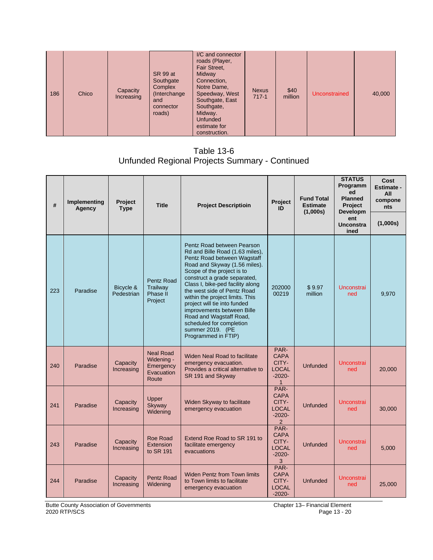| 186 | Chico | Capacity<br>Increasing | SR 99 at<br>Southgate<br>Complex<br>(Interchange)<br>and<br>connector<br>roads) | I/C and connector<br>roads (Player,<br>Fair Street,<br><b>Midway</b><br>Connection,<br>Notre Dame,<br>Speedway, West<br>Southgate, East<br>Southgate,<br>Midway.<br><b>Unfunded</b><br>estimate for<br>construction. | <b>Nexus</b><br>$717-1$ | \$40<br>million | Unconstrained | 40,000 |
|-----|-------|------------------------|---------------------------------------------------------------------------------|----------------------------------------------------------------------------------------------------------------------------------------------------------------------------------------------------------------------|-------------------------|-----------------|---------------|--------|
|-----|-------|------------------------|---------------------------------------------------------------------------------|----------------------------------------------------------------------------------------------------------------------------------------------------------------------------------------------------------------------|-------------------------|-----------------|---------------|--------|

Table 13-6 Unfunded Regional Projects Summary - Continued

| #   | Implementing<br>Agency | <b>Project</b><br><b>Type</b> | <b>Title</b>                                                       | <b>Project Descriptioin</b>                                                                                                                                                                                                                                                                                                                                                                                                                                       | <b>Project</b><br>ID                                                       | <b>Fund Total</b><br><b>Estimate</b><br>(1,000s) | <b>STATUS</b><br>Programm<br>ed<br><b>Planned</b><br><b>Project</b><br>Developm | Cost<br><b>Estimate -</b><br>All<br>compone<br>nts |
|-----|------------------------|-------------------------------|--------------------------------------------------------------------|-------------------------------------------------------------------------------------------------------------------------------------------------------------------------------------------------------------------------------------------------------------------------------------------------------------------------------------------------------------------------------------------------------------------------------------------------------------------|----------------------------------------------------------------------------|--------------------------------------------------|---------------------------------------------------------------------------------|----------------------------------------------------|
|     |                        |                               |                                                                    |                                                                                                                                                                                                                                                                                                                                                                                                                                                                   |                                                                            |                                                  | ent<br><b>Unconstra</b><br>ined                                                 | (1,000s)                                           |
| 223 | Paradise               | Bicycle &<br>Pedestrian       | Pentz Road<br>Trailway<br>Phase II<br>Project                      | Pentz Road between Pearson<br>Rd and Bille Road (1.63 miles).<br>Pentz Road between Wagstaff<br>Road and Skyway (1.56 miles).<br>Scope of the project is to<br>construct a grade separated,<br>Class I, bike-ped facility along<br>the west side of Pentz Road<br>within the project limits. This<br>project will tie into funded<br>improvements between Bille<br>Road and Wagstaff Road,<br>scheduled for completion<br>summer 2019. (PE<br>Programmed in FTIP) | 202000<br>00219                                                            | \$9.97<br>million                                | Unconstrai<br>ned                                                               | 9,970                                              |
| 240 | Paradise               | Capacity<br>Increasing        | <b>Neal Road</b><br>Widening -<br>Emergency<br>Evacuation<br>Route | <b>Widen Neal Road to facilitate</b><br>emergency evacuation.<br>Provides a critical alternative to<br>SR 191 and Skyway                                                                                                                                                                                                                                                                                                                                          | PAR-<br><b>CAPA</b><br>CITY-<br><b>LOCAL</b><br>$-2020-$<br>$\mathbf{1}$   | Unfunded                                         | <b>Unconstrai</b><br>ned                                                        | 20,000                                             |
| 241 | Paradise               | Capacity<br>Increasing        | Upper<br>Skyway<br>Widening                                        | Widen Skyway to facilitate<br>emergency evacuation                                                                                                                                                                                                                                                                                                                                                                                                                | PAR-<br><b>CAPA</b><br>CITY-<br><b>LOCAL</b><br>$-2020-$<br>$\overline{2}$ | Unfunded                                         | <b>Unconstrai</b><br>ned                                                        | 30,000                                             |
| 243 | Paradise               | Capacity<br>Increasing        | Roe Road<br>Extension<br>to SR 191                                 | Extend Roe Road to SR 191 to<br>facilitate emergency<br>evacuations                                                                                                                                                                                                                                                                                                                                                                                               | PAR-<br><b>CAPA</b><br>CITY-<br><b>LOCAL</b><br>$-2020-$<br>3              | <b>Unfunded</b>                                  | <b>Unconstrai</b><br>ned                                                        | 5,000                                              |
| 244 | Paradise               | Capacity<br>Increasing        | <b>Pentz Road</b><br>Widening                                      | <b>Widen Pentz from Town limits</b><br>to Town limits to facilitate<br>emergency evacuation                                                                                                                                                                                                                                                                                                                                                                       | PAR-<br><b>CAPA</b><br>CITY-<br><b>LOCAL</b><br>$-2020-$                   | <b>Unfunded</b>                                  | <b>Unconstrai</b><br>ned                                                        | 25,000                                             |

Butte County Association of Governments **Chapter 13– Financial Element** Chapter 13– Financial Element 2020 RTP/SCS Page 13 - 20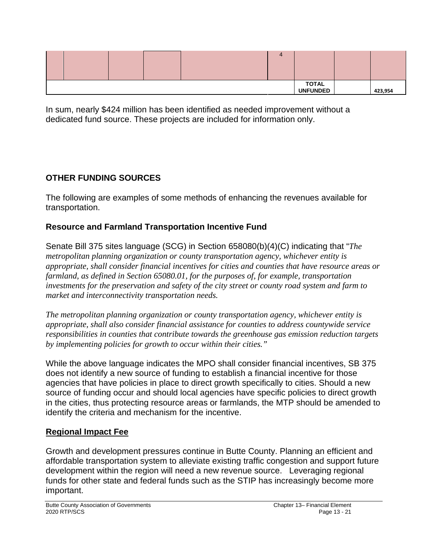|  |  |  |  |  | $\overline{a}$ |  |         |
|--|--|--|--|--|----------------|--|---------|
|  |  |  |  |  |                |  | 423,954 |

In sum, nearly \$424 million has been identified as needed improvement without a dedicated fund source. These projects are included for information only.

### **OTHER FUNDING SOURCES**

The following are examples of some methods of enhancing the revenues available for transportation.

#### **Resource and Farmland Transportation Incentive Fund**

Senate Bill 375 sites language (SCG) in Section 658080(b)(4)(C) indicating that "*The metropolitan planning organization or county transportation agency, whichever entity is appropriate, shall consider financial incentives for cities and counties that have resource areas or farmland, as defined in Section 65080.01, for the purposes of, for example, transportation investments for the preservation and safety of the city street or county road system and farm to market and interconnectivity transportation needs.* 

*The metropolitan planning organization or county transportation agency, whichever entity is appropriate, shall also consider financial assistance for counties to address countywide service responsibilities in counties that contribute towards the greenhouse gas emission reduction targets by implementing policies for growth to occur within their cities."*

While the above language indicates the MPO shall consider financial incentives, SB 375 does not identify a new source of funding to establish a financial incentive for those agencies that have policies in place to direct growth specifically to cities. Should a new source of funding occur and should local agencies have specific policies to direct growth in the cities, thus protecting resource areas or farmlands, the MTP should be amended to identify the criteria and mechanism for the incentive.

#### **Regional Impact Fee**

Growth and development pressures continue in Butte County. Planning an efficient and affordable transportation system to alleviate existing traffic congestion and support future development within the region will need a new revenue source. Leveraging regional funds for other state and federal funds such as the STIP has increasingly become more important.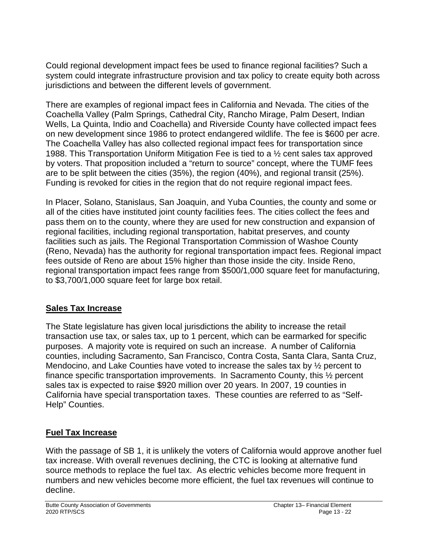Could regional development impact fees be used to finance regional facilities? Such a system could integrate infrastructure provision and tax policy to create equity both across jurisdictions and between the different levels of government.

There are examples of regional impact fees in California and Nevada. The cities of the Coachella Valley (Palm Springs, Cathedral City, Rancho Mirage, Palm Desert, Indian Wells, La Quinta, Indio and Coachella) and Riverside County have collected impact fees on new development since 1986 to protect endangered wildlife. The fee is \$600 per acre. The Coachella Valley has also collected regional impact fees for transportation since 1988. This Transportation Uniform Mitigation Fee is tied to a ½ cent sales tax approved by voters. That proposition included a "return to source" concept, where the TUMF fees are to be split between the cities (35%), the region (40%), and regional transit (25%). Funding is revoked for cities in the region that do not require regional impact fees.

In Placer, Solano, Stanislaus, San Joaquin, and Yuba Counties, the county and some or all of the cities have instituted joint county facilities fees. The cities collect the fees and pass them on to the county, where they are used for new construction and expansion of regional facilities, including regional transportation, habitat preserves, and county facilities such as jails. The Regional Transportation Commission of Washoe County (Reno, Nevada) has the authority for regional transportation impact fees. Regional impact fees outside of Reno are about 15% higher than those inside the city. Inside Reno, regional transportation impact fees range from \$500/1,000 square feet for manufacturing, to \$3,700/1,000 square feet for large box retail.

#### **Sales Tax Increase**

The State legislature has given local jurisdictions the ability to increase the retail transaction use tax, or sales tax, up to 1 percent, which can be earmarked for specific purposes. A majority vote is required on such an increase. A number of California counties, including Sacramento, San Francisco, Contra Costa, Santa Clara, Santa Cruz, Mendocino, and Lake Counties have voted to increase the sales tax by ½ percent to finance specific transportation improvements. In Sacramento County, this ½ percent sales tax is expected to raise \$920 million over 20 years. In 2007, 19 counties in California have special transportation taxes. These counties are referred to as "Self-Help" Counties.

# **Fuel Tax Increase**

With the passage of SB 1, it is unlikely the voters of California would approve another fuel tax increase. With overall revenues declining, the CTC is looking at alternative fund source methods to replace the fuel tax. As electric vehicles become more frequent in numbers and new vehicles become more efficient, the fuel tax revenues will continue to decline.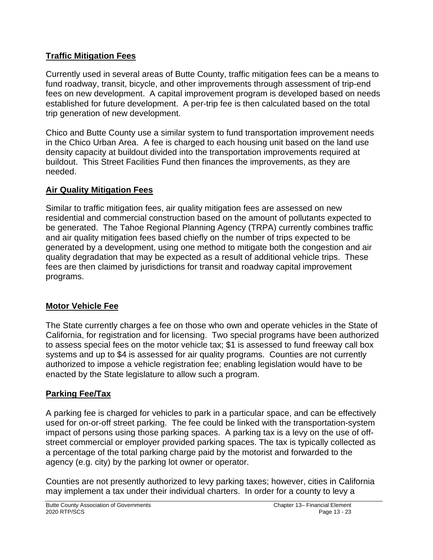#### **Traffic Mitigation Fees**

Currently used in several areas of Butte County, traffic mitigation fees can be a means to fund roadway, transit, bicycle, and other improvements through assessment of trip-end fees on new development. A capital improvement program is developed based on needs established for future development. A per-trip fee is then calculated based on the total trip generation of new development.

Chico and Butte County use a similar system to fund transportation improvement needs in the Chico Urban Area. A fee is charged to each housing unit based on the land use density capacity at buildout divided into the transportation improvements required at buildout. This Street Facilities Fund then finances the improvements, as they are needed.

# **Air Quality Mitigation Fees**

Similar to traffic mitigation fees, air quality mitigation fees are assessed on new residential and commercial construction based on the amount of pollutants expected to be generated. The Tahoe Regional Planning Agency (TRPA) currently combines traffic and air quality mitigation fees based chiefly on the number of trips expected to be generated by a development, using one method to mitigate both the congestion and air quality degradation that may be expected as a result of additional vehicle trips. These fees are then claimed by jurisdictions for transit and roadway capital improvement programs.

# **Motor Vehicle Fee**

The State currently charges a fee on those who own and operate vehicles in the State of California, for registration and for licensing. Two special programs have been authorized to assess special fees on the motor vehicle tax; \$1 is assessed to fund freeway call box systems and up to \$4 is assessed for air quality programs. Counties are not currently authorized to impose a vehicle registration fee; enabling legislation would have to be enacted by the State legislature to allow such a program.

# **Parking Fee/Tax**

A parking fee is charged for vehicles to park in a particular space, and can be effectively used for on-or-off street parking. The fee could be linked with the transportation-system impact of persons using those parking spaces. A parking tax is a levy on the use of offstreet commercial or employer provided parking spaces. The tax is typically collected as a percentage of the total parking charge paid by the motorist and forwarded to the agency (e.g. city) by the parking lot owner or operator.

Counties are not presently authorized to levy parking taxes; however, cities in California may implement a tax under their individual charters. In order for a county to levy a